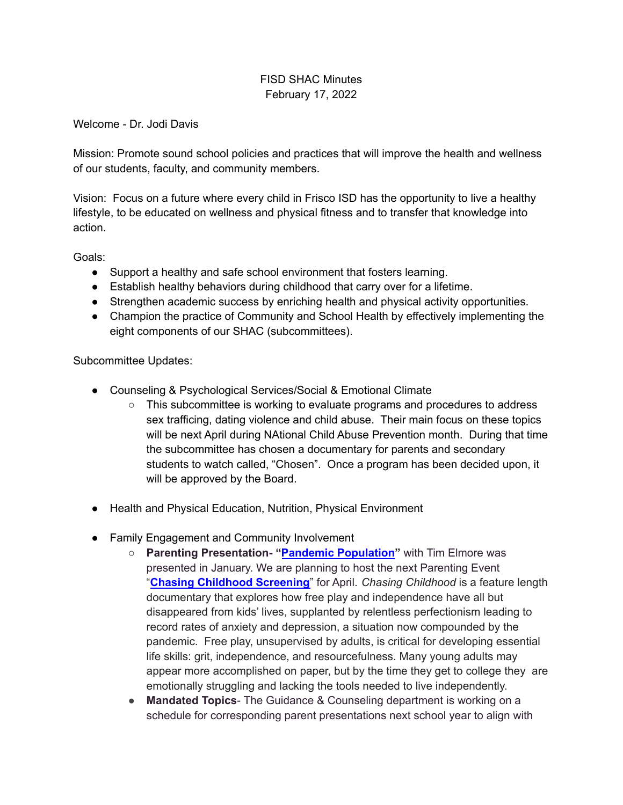## FISD SHAC Minutes February 17, 2022

Welcome - Dr. Jodi Davis

Mission: Promote sound school policies and practices that will improve the health and wellness of our students, faculty, and community members.

Vision: Focus on a future where every child in Frisco ISD has the opportunity to live a healthy lifestyle, to be educated on wellness and physical fitness and to transfer that knowledge into action.

Goals:

- Support a healthy and safe school environment that fosters learning.
- Establish healthy behaviors during childhood that carry over for a lifetime.
- Strengthen academic success by enriching health and physical activity opportunities.
- Champion the practice of Community and School Health by effectively implementing the eight components of our SHAC (subcommittees).

Subcommittee Updates:

- Counseling & Psychological Services/Social & Emotional Climate
	- $\circ$  This subcommittee is working to evaluate programs and procedures to address sex trafficing, dating violence and child abuse. Their main focus on these topics will be next April during NAtional Child Abuse Prevention month. During that time the subcommittee has chosen a documentary for parents and secondary students to watch called, "Chosen". Once a program has been decided upon, it will be approved by the Board.
- Health and Physical Education, Nutrition, Physical Environment
- Family Engagement and Community Involvement
	- **Parenting Presentation- "Pandemic [Population](https://youtu.be/T9LGiqoFf10)"** with Tim Elmore was presented in January. We are planning to host the next Parenting Event "**Chasing [Childhood](https://www.chasingchildhooddoc.com/) Screening**" for April. *Chasing Childhood* is a feature length documentary that explores how free play and independence have all but disappeared from kids' lives, supplanted by relentless perfectionism leading to record rates of anxiety and depression, a situation now compounded by the pandemic. Free play, unsupervised by adults, is critical for developing essential life skills: grit, independence, and resourcefulness. Many young adults may appear more accomplished on paper, but by the time they get to college they are emotionally struggling and lacking the tools needed to live independently.
	- **Mandated Topics** The Guidance & Counseling department is working on a schedule for corresponding parent presentations next school year to align with